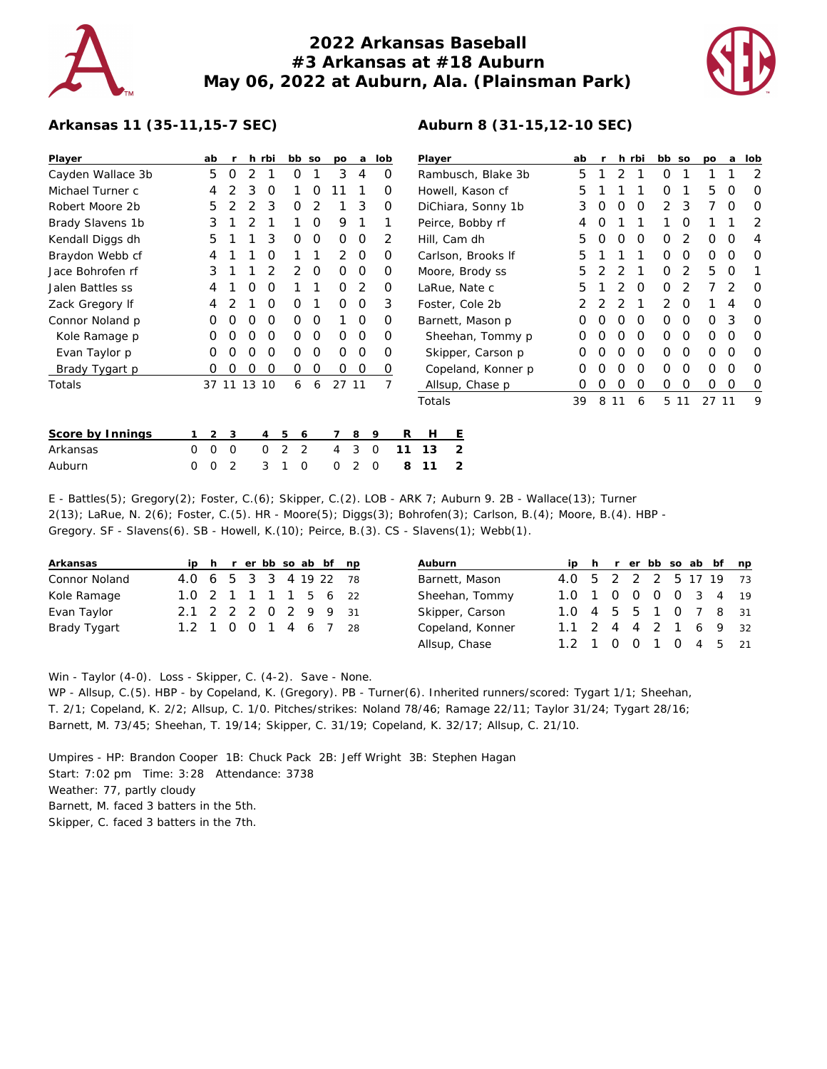## **2022 Arkansas Baseball #3 Arkansas at #18 Auburn May 06, 2022 at Auburn, Ala. (Plainsman Park)**

**Auburn 8 (31-15,12-10 SEC)**



## **Arkansas 11 (35-11,15-7 SEC)**

| Player            |   | ab    |   |    | h rbi    |                | bb so | po       | a        | lob      |    | Player             |                |                   | ab |    |          | h rbi    | bb so    |   | po   | a        | lob      |   |
|-------------------|---|-------|---|----|----------|----------------|-------|----------|----------|----------|----|--------------------|----------------|-------------------|----|----|----------|----------|----------|---|------|----------|----------|---|
| Cayden Wallace 3b |   | 5     | 0 | 2  |          | 0              |       | 3        | 4        | 0        |    | Rambusch, Blake 3b |                |                   | 5  |    | 2        |          | 0        |   |      |          | 2        |   |
| Michael Turner c  |   | 4     |   | 3  | O        |                | 0     |          |          | O        |    | Howell, Kason cf   |                |                   |    | 5  |          |          |          | 0 |      | 5        | O        | 0 |
| Robert Moore 2b   |   | 5     |   |    | 3        | 0              | 2     |          | 3        | 0        |    | DiChiara, Sonny 1b |                |                   |    | 3  |          |          | 0        | 2 | 3    |          | 0        | O |
| Brady Slavens 1b  |   | 3     |   |    |          |                | O     | 9        |          |          |    |                    |                | Peirce, Bobby rf  |    | 4  |          |          |          |   | O    |          |          | 2 |
| Kendall Diggs dh  |   | 5     |   |    | 3        | 0              | 0     | 0        | 0        | 2        |    | Hill, Cam dh       |                |                   |    | 5  | $\left($ | O        | $\Omega$ | O | 2    | $\Omega$ | O        | 4 |
| Braydon Webb cf   |   | 4     |   |    | Ο        |                |       | 2        | $\Omega$ | O        |    | Carlson, Brooks If |                |                   |    | 5  |          |          |          | O | O    | $\Omega$ | O        | O |
| Jace Bohrofen rf  |   | 3     |   |    |          | $\overline{2}$ | 0     | $\Omega$ | 0        | O        |    | Moore, Brody ss    |                |                   |    | 5  |          |          |          | O | 2    | 5        | $\Omega$ |   |
| Jalen Battles ss  |   | 4     |   | Ο  | O        |                |       | O        | 2        | $\Omega$ |    | LaRue, Nate c      |                |                   |    | 5  |          |          | O        | O | 2    |          | 2        | O |
| Zack Gregory If   |   | 4     |   |    | O        | 0              | 1     | 0        | 0        | 3        |    | Foster, Cole 2b    |                |                   |    |    |          |          |          | 2 | O    |          | 4        | 0 |
| Connor Noland p   |   | Ο     | Ο | Ο  | 0        | 0              | 0     |          | 0        | O        |    | Barnett, Mason p   |                |                   |    | O  |          |          | $\Omega$ | 0 | 0    | $\Omega$ | 3        | 0 |
| Kole Ramage p     |   | 0     | Ο | Ο  | 0        | 0              | 0     | 0        | 0        | O        |    | Sheehan, Tommy p   |                |                   |    | O  |          |          | 0        | 0 | 0    | $\Omega$ | O        | 0 |
| Evan Taylor p     |   | 0     | O | Ο  | O        | 0              | O     | $\Omega$ | 0        | O        |    |                    |                | Skipper, Carson p |    |    |          |          | $\Omega$ | 0 | 0    | 0        | O        | 0 |
| Brady Tygart p    |   | 0     | O | Ο  | O        | 0              | O     | 0        | 0        | 0        |    | Copeland, Konner p |                |                   |    |    |          | $\Omega$ | O        | 0 | O    | ∩        | O        |   |
| Totals            |   | 37 11 |   | 13 | 10       | 6              | 6     | 27       | 11       |          |    |                    |                | Allsup, Chase p   |    |    |          | O        | O        | 0 | O    | $\Omega$ | $\Omega$ | 0 |
|                   |   |       |   |    |          |                |       |          |          |          |    | Totals             |                |                   |    | 39 | 8        | 11       | 6        |   | 5 11 | 27 11    |          | 9 |
| Score by Innings  |   | 2     | 3 |    | 4        | 5<br>6         |       | 7        | 8        | 9        | R  | Н                  | Ε              |                   |    |    |          |          |          |   |      |          |          |   |
| Arkansas          | 0 | 0     | 0 |    | $\Omega$ | 2              | 2     | 4        | 3        | 0        | 11 | 13                 | 2              |                   |    |    |          |          |          |   |      |          |          |   |
| Auburn            | 0 | 0     |   |    | 3        |                | 0     | 0        |          | 0        | 8  | 11                 | $\overline{2}$ |                   |    |    |          |          |          |   |      |          |          |   |

E - Battles(5); Gregory(2); Foster, C.(6); Skipper, C.(2). LOB - ARK 7; Auburn 9. 2B - Wallace(13); Turner 2(13); LaRue, N. 2(6); Foster, C.(5). HR - Moore(5); Diggs(3); Bohrofen(3); Carlson, B.(4); Moore, B.(4). HBP - Gregory. SF - Slavens(6). SB - Howell, K.(10); Peirce, B.(3). CS - Slavens(1); Webb(1).

| Arkansas      |                        |  |  |  | ip h r er bb so ab bf np |  |
|---------------|------------------------|--|--|--|--------------------------|--|
| Connor Noland | 4.0 6 5 3 3 4 19 22 78 |  |  |  |                          |  |
| Kole Ramage   | 1.0 2 1 1 1 1 5 6 22   |  |  |  |                          |  |
| Evan Taylor   | 2.1 2 2 2 0 2 9 9 31   |  |  |  |                          |  |
| Brady Tygart  | 1.2 1 0 0 1 4 6 7 28   |  |  |  |                          |  |

| Auburn           |                        |  |  |  | ip h r er bb so ab bf np |  |
|------------------|------------------------|--|--|--|--------------------------|--|
| Barnett, Mason   | 4.0 5 2 2 2 5 17 19 73 |  |  |  |                          |  |
| Sheehan, Tommy   | 1.0 1 0 0 0 0 3 4 19   |  |  |  |                          |  |
| Skipper, Carson  | 1.0 4 5 5 1 0 7 8 31   |  |  |  |                          |  |
| Copeland, Konner | 1.1 2 4 4 2 1 6 9 32   |  |  |  |                          |  |
| Allsup, Chase    | 1.2 1 0 0 1 0 4 5 21   |  |  |  |                          |  |

Win - Taylor (4-0). Loss - Skipper, C. (4-2). Save - None.

WP - Allsup, C.(5). HBP - by Copeland, K. (Gregory). PB - Turner(6). Inherited runners/scored: Tygart 1/1; Sheehan, T. 2/1; Copeland, K. 2/2; Allsup, C. 1/0. Pitches/strikes: Noland 78/46; Ramage 22/11; Taylor 31/24; Tygart 28/16; Barnett, M. 73/45; Sheehan, T. 19/14; Skipper, C. 31/19; Copeland, K. 32/17; Allsup, C. 21/10.

Umpires - HP: Brandon Cooper 1B: Chuck Pack 2B: Jeff Wright 3B: Stephen Hagan Start: 7:02 pm Time: 3:28 Attendance: 3738 Weather: 77, partly cloudy Barnett, M. faced 3 batters in the 5th. Skipper, C. faced 3 batters in the 7th.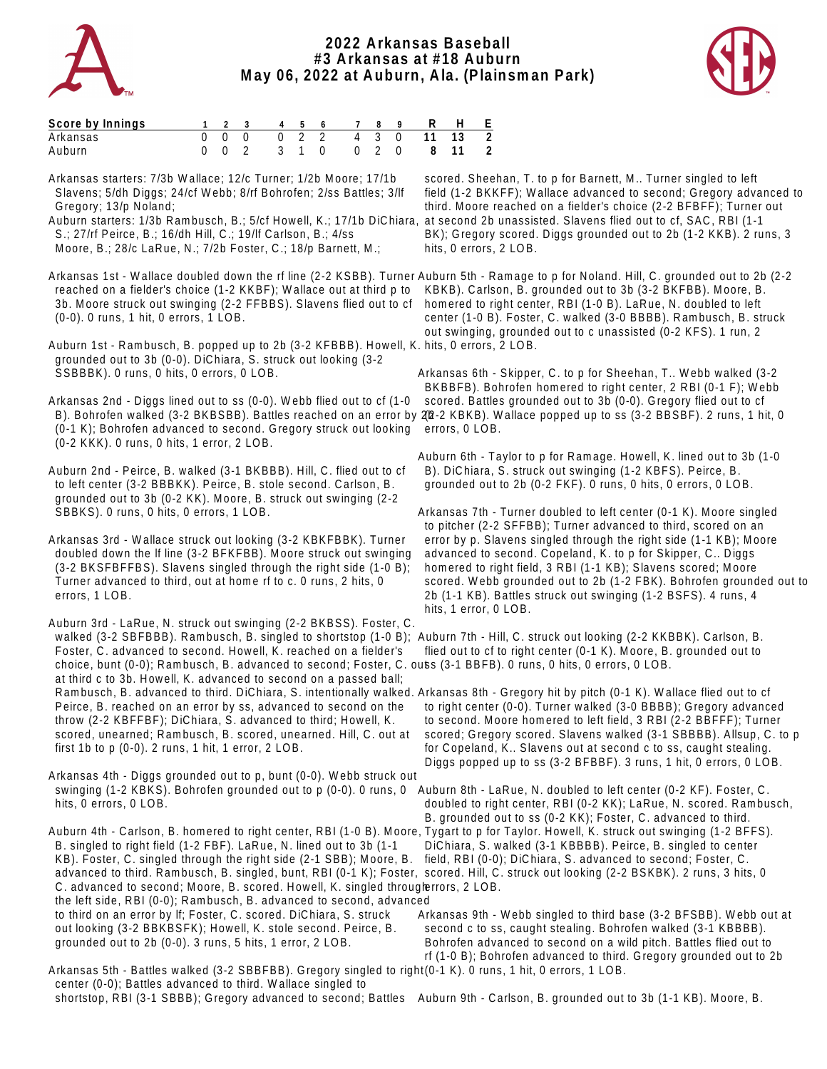

## **2022 Arkansas Baseball #3 Arkansas at #18 Auburn May 06, 2022 at Auburn, Ala. (Plainsman Park)**



| Score by Innings |  |  |  | 1 2 3 4 5 6 7 8 9 R H E   |  |  |  |
|------------------|--|--|--|---------------------------|--|--|--|
| Arkansas         |  |  |  | 0 0 0 0 2 2 4 3 0 11 13 2 |  |  |  |
| <b>Auburn</b>    |  |  |  | 0 0 2 3 1 0 0 2 0 8 11 2  |  |  |  |

Arkansas starters: 7/3b Wallace; 12/c Turner; 1/2b Moore; 17/1b Slavens; 5/dh Diggs; 24/cf Webb; 8/rf Bohrofen; 2/ss Battles; 3/lf Gregory; 13/p Noland;

Auburn starters: 1/3b Rambusch, B.; 5/cf Howell, K.; 17/1b DiChiara, S.; 27/rf Peirce, B.; 16/dh Hill, C.; 19/lf Carlson, B.; 4/ss Moore, B.; 28/c LaRue, N.; 7/2b Foster, C.; 18/p Barnett, M.;

 reached on a fielder's choice (1-2 KKBF); Wallace out at third p to 3b. Moore struck out swinging (2-2 FFBBS). Slavens flied out to cf (0-0). 0 runs, 1 hit, 0 errors, 1 LOB.

Auburn 1st - Rambusch, B. popped up to 2b (3-2 KFBBB). Howell, K. hits, 0 errors, 2 LOB. grounded out to 3b (0-0). DiChiara, S. struck out looking (3-2 SSBBBK). 0 runs, 0 hits, 0 errors, 0 LOB.

Arkansas 2nd - Diggs lined out to ss (0-0). Webb flied out to cf (1-0 B). Bohrofen walked (3-2 BKBSBB). Battles reached on an error by 202-2 KBKB). Wallace popped up to ss (3-2 BBSBF). 2 runs, 1 hit, 0 (0-1 K); Bohrofen advanced to second. Gregory struck out looking errors, 0 LOB. (0-2 KKK). 0 runs, 0 hits, 1 error, 2 LOB.

Auburn 2nd - Peirce, B. walked (3-1 BKBBB). Hill, C. flied out to cf to left center (3-2 BBBKK). Peirce, B. stole second. Carlson, B. grounded out to 3b (0-2 KK). Moore, B. struck out swinging (2-2 SBBKS). 0 runs, 0 hits, 0 errors, 1 LOB.

Arkansas 3rd - Wallace struck out looking (3-2 KBKFBBK). Turner doubled down the lf line (3-2 BFKFBB). Moore struck out swinging (3-2 BKSFBFFBS). Slavens singled through the right side (1-0 B); Turner advanced to third, out at home rf to c. 0 runs, 2 hits, 0 errors, 1 LOB.

Auburn 3rd - LaRue, N. struck out swinging (2-2 BKBSS). Foster, C. walked (3-2 SBFBBB). Rambusch, B. singled to shortstop (1-0 B); Auburn 7th - Hill, C. struck out looking (2-2 KKBBK). Carlson, B. Foster, C. advanced to second. Howell, K. reached on a fielder's choice, bunt (0-0); Rambusch, B. advanced to second; Foster, C. outs (3-1 BBFB). 0 runs, 0 hits, 0 errors, 0 LOB. at third c to 3b. Howell, K. advanced to second on a passed ball; Rambusch, B. advanced to third. DiChiara, S. intentionally walked. Arkansas 8th - Gregory hit by pitch (0-1 K). Wallace flied out to cf Peirce, B. reached on an error by ss, advanced to second on the throw (2-2 KBFFBF); DiChiara, S. advanced to third; Howell, K. scored, unearned; Rambusch, B. scored, unearned. Hill, C. out at first 1b to p (0-0). 2 runs, 1 hit, 1 error, 2 LOB.

Arkansas 4th - Diggs grounded out to p, bunt (0-0). Webb struck out swinging (1-2 KBKS). Bohrofen grounded out to p (0-0). 0 runs, 0 Auburn 8th - LaRue, N. doubled to left center (0-2 KF). Foster, C. hits, 0 errors, 0 LOB.

Auburn 4th - Carlson, B. homered to right center, RBI (1-0 B). Moore, Tygart to p for Taylor. Howell, K. struck out swinging (1-2 BFFS). B. singled to right field (1-2 FBF). LaRue, N. lined out to 3b (1-1 KB). Foster, C. singled through the right side (2-1 SBB); Moore, B. advanced to third. Rambusch, B. singled, bunt, RBI (0-1 K); Foster, scored. Hill, C. struck out looking (2-2 BSKBK). 2 runs, 3 hits, 0 C. advanced to second; Moore, B. scored. Howell, K. singled througlerrors, 2 LOB. the left side, RBI (0-0); Rambusch, B. advanced to second, advanced to third on an error by lf; Foster, C. scored. DiChiara, S. struck out looking (3-2 BBKBSFK); Howell, K. stole second. Peirce, B. grounded out to 2b (0-0). 3 runs, 5 hits, 1 error, 2 LOB.

 scored. Sheehan, T. to p for Barnett, M.. Turner singled to left field (1-2 BKKFF); Wallace advanced to second; Gregory advanced to third. Moore reached on a fielder's choice (2-2 BFBFF); Turner out at second 2b unassisted. Slavens flied out to cf, SAC, RBI (1-1 BK); Gregory scored. Diggs grounded out to 2b (1-2 KKB). 2 runs, 3 hits, 0 errors, 2 LOB.

Arkansas 1st - Wallace doubled down the rf line (2-2 KSBB). Turner Auburn 5th - Ramage to p for Noland. Hill, C. grounded out to 2b (2-2 KBKB). Carlson, B. grounded out to 3b (3-2 BKFBB). Moore, B. homered to right center, RBI (1-0 B). LaRue, N. doubled to left center (1-0 B). Foster, C. walked (3-0 BBBB). Rambusch, B. struck out swinging, grounded out to c unassisted (0-2 KFS). 1 run, 2

> Arkansas 6th - Skipper, C. to p for Sheehan, T.. Webb walked (3-2 BKBBFB). Bohrofen homered to right center, 2 RBI (0-1 F); Webb scored. Battles grounded out to 3b (0-0). Gregory flied out to cf

Auburn 6th - Taylor to p for Ramage. Howell, K. lined out to 3b (1-0 B). DiChiara, S. struck out swinging (1-2 KBFS). Peirce, B. grounded out to 2b (0-2 FKF). 0 runs, 0 hits, 0 errors, 0 LOB.

Arkansas 7th - Turner doubled to left center (0-1 K). Moore singled to pitcher (2-2 SFFBB); Turner advanced to third, scored on an error by p. Slavens singled through the right side (1-1 KB); Moore advanced to second. Copeland, K. to p for Skipper, C.. Diggs homered to right field, 3 RBI (1-1 KB); Slavens scored; Moore scored. Webb grounded out to 2b (1-2 FBK). Bohrofen grounded out to 2b (1-1 KB). Battles struck out swinging (1-2 BSFS). 4 runs, 4 hits, 1 error, 0 LOB.

flied out to cf to right center (0-1 K). Moore, B. grounded out to

 to right center (0-0). Turner walked (3-0 BBBB); Gregory advanced to second. Moore homered to left field, 3 RBI (2-2 BBFFF); Turner scored; Gregory scored. Slavens walked (3-1 SBBBB). Allsup, C. to p for Copeland, K.. Slavens out at second c to ss, caught stealing. Diggs popped up to ss (3-2 BFBBF). 3 runs, 1 hit, 0 errors, 0 LOB.

 doubled to right center, RBI (0-2 KK); LaRue, N. scored. Rambusch, B. grounded out to ss (0-2 KK); Foster, C. advanced to third. DiChiara, S. walked (3-1 KBBBB). Peirce, B. singled to center field, RBI (0-0); DiChiara, S. advanced to second; Foster, C.

Arkansas 9th - Webb singled to third base (3-2 BFSBB). Webb out at second c to ss, caught stealing. Bohrofen walked (3-1 KBBBB). Bohrofen advanced to second on a wild pitch. Battles flied out to rf (1-0 B); Bohrofen advanced to third. Gregory grounded out to 2b

Arkansas 5th - Battles walked (3-2 SBBFBB). Gregory singled to right (0-1 K). 0 runs, 1 hit, 0 errors, 1 LOB. center (0-0); Battles advanced to third. Wallace singled to shortstop, RBI (3-1 SBBB); Gregory advanced to second; Battles Auburn 9th - Carlson, B. grounded out to 3b (1-1 KB). Moore, B.